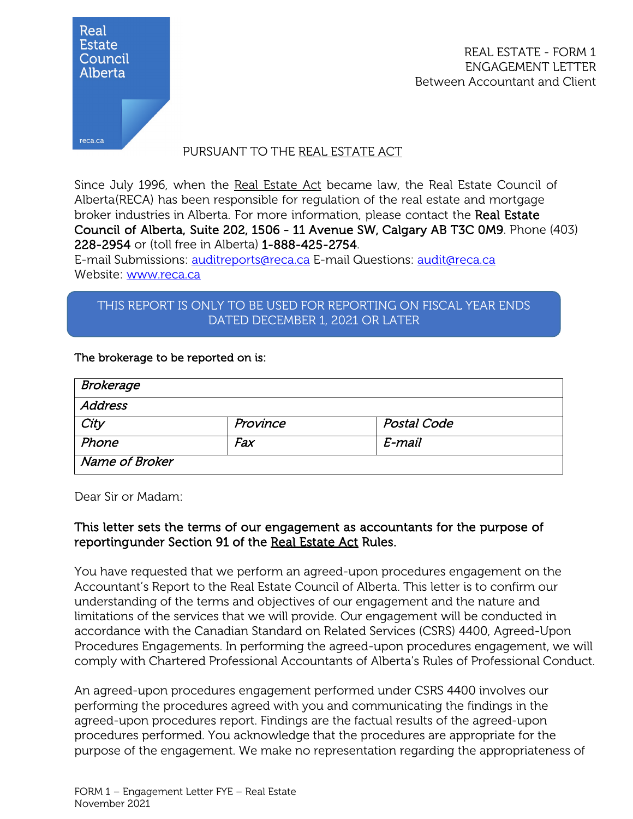

REAL ESTATE - FORM 1 ENGAGEMENT LETTER Between Accountant and Client

### PURSUANT TO THE REAL ESTATE ACT

Since July 1996, when the Real Estate Act became law, the Real Estate Council of Alberta(RECA) has been responsible for regulation of the real estate and mortgage broker industries in Alberta. For more information, please contact the Real Estate Council of Alberta, Suite 202, 1506 - 11 Avenue SW, Calgary AB T3C 0M9. Phone (403) 228-2954 or (toll free in Alberta) 1-888-425-2754.

E-mail Submissions: [auditreports@reca.ca](mailto:auditreports@reca.ca) E-mail Questions: [audit@reca.ca](mailto:audit@reca.ca) Website: [www.reca.ca](http://www.reca.ca/)

THIS REPORT IS ONLY TO BE USED FOR REPORTING ON FISCAL YEAR ENDS DATED DECEMBER 1, 2021 OR LATER

#### The brokerage to be reported on is:

| Brokerage             |          |             |
|-----------------------|----------|-------------|
| Address               |          |             |
| City                  | Province | Postal Code |
| Phone                 | Fax      | E-mail      |
| <b>Name of Broker</b> |          |             |

Dear Sir or Madam:

## This letter sets the terms of our engagement as accountants for the purpose of reporting under Section 91 of the Real Estate Act Rules.

You have requested that we perform an agreed-upon procedures engagement on the Accountant's Report to the Real Estate Council of Alberta. This letter is to confirm our understanding of the terms and objectives of our engagement and the nature and limitations of the services that we will provide. Our engagement will be conducted in accordance with the Canadian Standard on Related Services (CSRS) 4400, Agreed-Upon Procedures Engagements. In performing the agreed-upon procedures engagement, we will comply with Chartered Professional Accountants of Alberta's Rules of Professional Conduct.

An agreed-upon procedures engagement performed under CSRS 4400 involves our performing the procedures agreed with you and communicating the findings in the agreed-upon procedures report. Findings are the factual results of the agreed-upon procedures performed. You acknowledge that the procedures are appropriate for the purpose of the engagement. We make no representation regarding the appropriateness of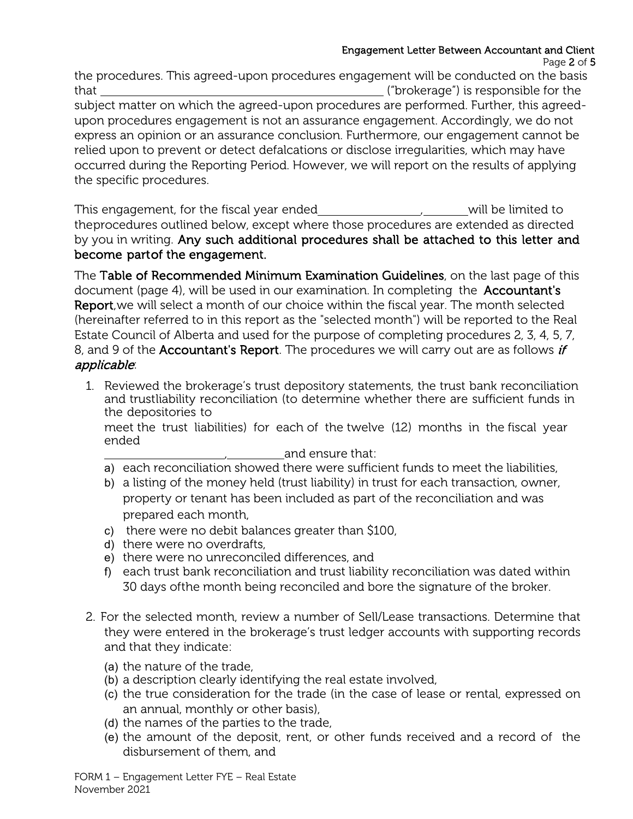# Engagement Letter Between Accountant and Client

the procedures. This agreed-upon procedures engagement will be conducted on the basis that ("brokerage") is responsible for the subject matter on which the agreed-upon procedures are performed. Further, this agreedupon procedures engagement is not an assurance engagement. Accordingly, we do not express an opinion or an assurance conclusion. Furthermore, our engagement cannot be relied upon to prevent or detect defalcations or disclose irregularities, which may have occurred during the Reporting Period. However, we will report on the results of applying the specific procedures.

This engagement, for the fiscal year ended\_\_\_\_\_\_\_\_\_\_\_\_\_\_\_\_\_\_\_\_\_\_\_\_\_\_\_\_\_\_\_will be limited to theprocedures outlined below, except where those procedures are extended as directed by you in writing. Any such additional procedures shall be attached to this letter and become part of the engagement.

The Table of Recommended Minimum Examination Guidelines, on the last page of this document (page 4), will be used in our examination. In completing the **Accountant's** Report,we will select a month of our choice within the fiscal year. The month selected (hereinafter referred to in this report as the "selected month") will be reported to the Real Estate Council of Alberta and used for the purpose of completing procedures 2, 3, 4, 5, 7, 8, and 9 of the Accountant's Report. The procedures we will carry out are as follows if applicable:

1. Reviewed the brokerage's trust depository statements, the trust bank reconciliation and trustliability reconciliation (to determine whether there are sufficient funds in the depositories to

meet the trust liabilities) for each of the twelve (12) months in the fiscal year ended

, and ensure that:

- a) each reconciliation showed there were sufficient funds to meet the liabilities,
- b) a listing of the money held (trust liability) in trust for each transaction, owner, property or tenant has been included as part of the reconciliation and was prepared each month,
- c) there were no debit balances greater than \$100,
- d) there were no overdrafts,
- e) there were no unreconciled differences, and
- f) each trust bank reconciliation and trust liability reconciliation was dated within 30 days ofthe month being reconciled and bore the signature of the broker.
- 2. For the selected month, review a number of Sell/Lease transactions. Determine that they were entered in the brokerage's trust ledger accounts with supporting records and that they indicate:
	- (a) the nature of the trade,
	- (b) a description clearly identifying the real estate involved,
	- (c) the true consideration for the trade (in the case of lease or rental, expressed on an annual, monthly or other basis),
	- (d) the names of the parties to the trade,
	- (e) the amount of the deposit, rent, or other funds received and a record of the disbursement of them, and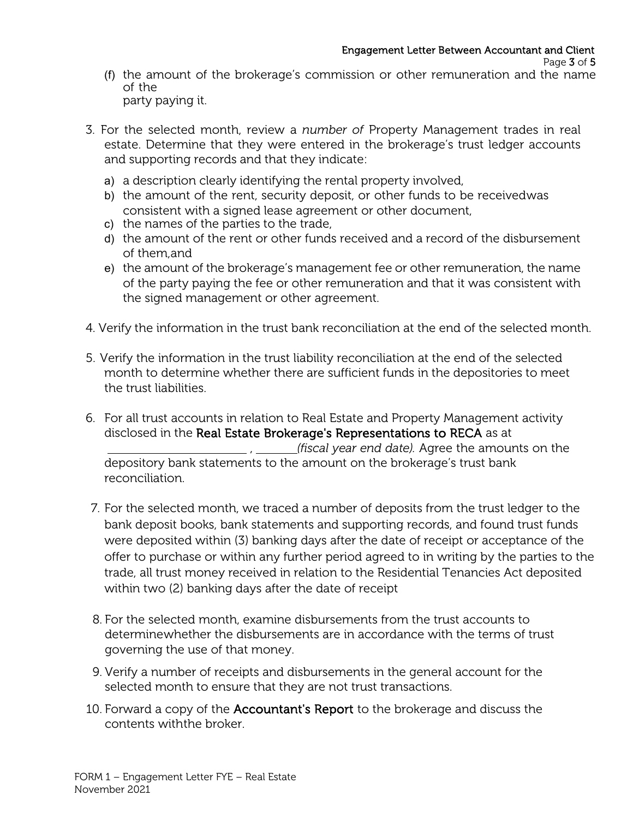- Page 3 of 5
- (f) the amount of the brokerage's commission or other remuneration and the name of the party paying it.
- 3. For the selected month, review a *number of* Property Management trades in real estate. Determine that they were entered in the brokerage's trust ledger accounts and supporting records and that they indicate:
	- a) a description clearly identifying the rental property involved,
	- b) the amount of the rent, security deposit, or other funds to be receivedwas consistent with a signed lease agreement or other document,
	- c) the names of the parties to the trade,
	- d) the amount of the rent or other funds received and a record of the disbursement of them,and
	- e) the amount of the brokerage's management fee or other remuneration, the name of the party paying the fee or other remuneration and that it was consistent with the signed management or other agreement.
- 4. Verify the information in the trust bank reconciliation at the end of the selected month.
- 5. Verify the information in the trust liability reconciliation at the end of the selected month to determine whether there are sufficient funds in the depositories to meet the trust liabilities.
- 6. For all trust accounts in relation to Real Estate and Property Management activity disclosed in the Real Estate Brokerage's Representations to RECA as at , *(fiscal year end date).* Agree the amounts on the depository bank statements to the amount on the brokerage's trust bank reconciliation.
- 7. For the selected month, we traced a number of deposits from the trust ledger to the bank deposit books, bank statements and supporting records, and found trust funds were deposited within (3) banking days after the date of receipt or acceptance of the offer to purchase or within any further period agreed to in writing by the parties to the trade, all trust money received in relation to the Residential Tenancies Act deposited within two (2) banking days after the date of receipt
- 8. For the selected month, examine disbursements from the trust accounts to determinewhether the disbursements are in accordance with the terms of trust governing the use of that money.
- 9. Verify a number of receipts and disbursements in the general account for the selected month to ensure that they are not trust transactions.
- 10. Forward a copy of the **Accountant's Report** to the brokerage and discuss the contents withthe broker.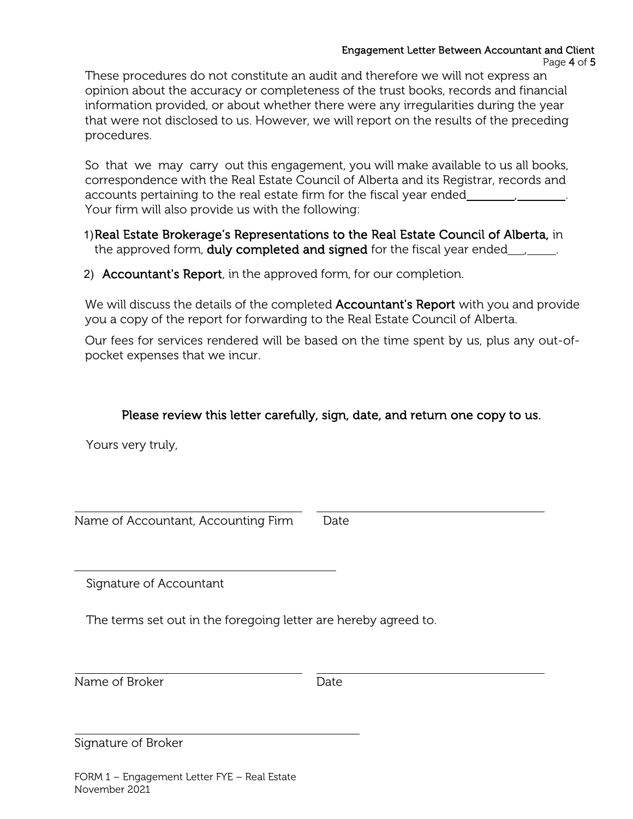These procedures do not constitute an audit and therefore we will not express an opinion about the accuracy or completeness of the trust books, records and financial information provided, or about whether there were any irregularities during the year that were not disclosed to us. However, we will report on the results of the preceding procedures.

So that we may carry out this engagement, you will make available to us all books, correspondence with the Real Estate Council of Alberta and its Registrar, records and accounts pertaining to the real estate firm for the fiscal year ended Your firm will also provide us with the following:

1)Real Estate Brokerage's Representations to the Real Estate Council of Alberta, in the approved form, **duly completed and signed** for the fiscal year ended  $\frac{1}{\sqrt{2}}$ .

2) Accountant's Report, in the approved form, for our completion.

We will discuss the details of the completed **Accountant's Report** with you and provide you a copy of the report for forwarding to the Real Estate Council of Alberta.

Our fees for services rendered will be based on the time spent by us, plus any out-ofpocket expenses that we incur.

### Please review this letter carefully, sign, date, and return one copy to us.

Yours very truly,

Name of Accountant, Accounting Firm Date

Signature of Accountant

The terms set out in the foregoing letter are hereby agreed to.

Name of Broker **Date** 

Signature of Broker